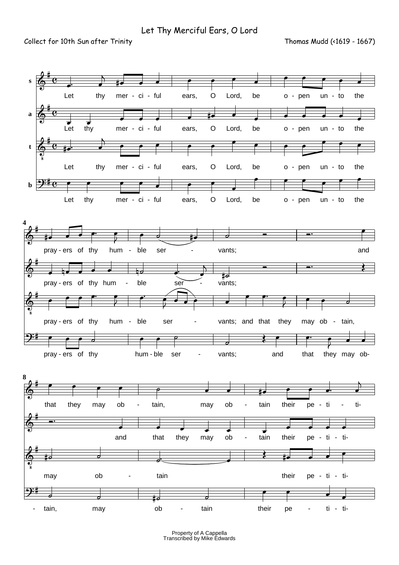